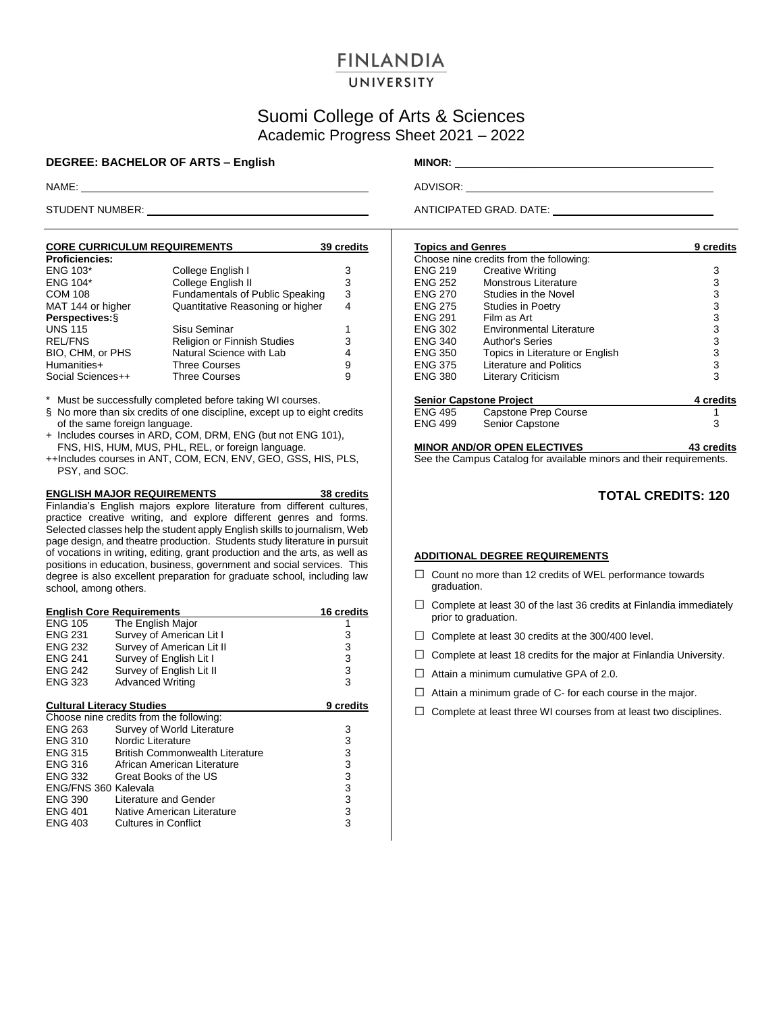# **FINLANDIA**

#### UNIVERSITY

## Suomi College of Arts & Sciences Academic Progress Sheet 2021 – 2022

#### **DEGREE: BACHELOR OF ARTS – English MINOR:** \_\_\_\_\_

NAME: ADVISOR:

STUDENT NUMBER: ANTICIPATED GRAD. DATE:

| <b>CORE CURRICULUM REQUIREMENTS</b> |                                        | 39 credits |
|-------------------------------------|----------------------------------------|------------|
| <b>Proficiencies:</b>               |                                        |            |
| <b>ENG 103*</b>                     | College English I                      | 3          |
| <b>ENG 104*</b>                     | College English II                     | 3          |
| <b>COM 108</b>                      | <b>Fundamentals of Public Speaking</b> | 3          |
| MAT 144 or higher                   | Quantitative Reasoning or higher       | 4          |
| Perspectives: §                     |                                        |            |
| <b>UNS 115</b>                      | Sisu Seminar                           | 1          |
| <b>REL/FNS</b>                      | Religion or Finnish Studies            | 3          |
| BIO, CHM, or PHS                    | Natural Science with Lab               | 4          |
| Humanities+                         | <b>Three Courses</b>                   | 9          |
| Social Sciences++                   | <b>Three Courses</b>                   | 9          |

\* Must be successfully completed before taking WI courses.

- § No more than six credits of one discipline, except up to eight credits of the same foreign language.
- + Includes courses in ARD, COM, DRM, ENG (but not ENG 101), FNS, HIS, HUM, MUS, PHL, REL, or foreign language.
- ++Includes courses in ANT, COM, ECN, ENV, GEO, GSS, HIS, PLS, PSY, and SOC.

**ENGLISH MAJOR REQUIREMENTS 38 credits** Finlandia's English majors explore literature from different cultures, practice creative writing, and explore different genres and forms. Selected classes help the student apply English skills to journalism, Web page design, and theatre production. Students study literature in pursuit of vocations in writing, editing, grant production and the arts, as well as positions in education, business, government and social services. This degree is also excellent preparation for graduate school, including law school, among others.

|                                  | <b>English Core Requirements</b>        | <b>16 credits</b> |
|----------------------------------|-----------------------------------------|-------------------|
| <b>ENG 105</b>                   | The English Major                       |                   |
| <b>ENG 231</b>                   | Survey of American Lit I                | 3                 |
| <b>ENG 232</b>                   | Survey of American Lit II               | 3                 |
| <b>ENG 241</b>                   | Survey of English Lit I                 | 3                 |
| <b>ENG 242</b>                   | Survey of English Lit II                | 3                 |
| <b>ENG 323</b>                   | <b>Advanced Writing</b>                 | 3                 |
|                                  |                                         |                   |
| <b>Cultural Literacy Studies</b> |                                         | 9 credits         |
|                                  | Choose nine credits from the following: |                   |
| <b>ENG 263</b>                   | Survey of World Literature              | 3                 |
| <b>ENG 310</b>                   | Nordic Literature                       | 3                 |
| ENG 315                          | <b>British Commonwealth Literature</b>  | 3                 |
| <b>ENG 316</b>                   | African American Literature             | 3                 |
| ENG 332                          | Great Books of the US                   | 3                 |
| ENG/FNS 360 Kalevala             |                                         | 3                 |
| <b>ENG 390</b>                   | Literature and Gender                   | 3                 |
| <b>ENG 401</b>                   | Native American Literature              | 3                 |
| <b>ENG 403</b>                   | Cultures in Conflict                    | 3                 |
|                                  |                                         |                   |

| <b>Topics and Genres</b> |                                         | 9 credits |
|--------------------------|-----------------------------------------|-----------|
|                          | Choose nine credits from the following: |           |
| <b>ENG 219</b>           | <b>Creative Writing</b>                 | 3         |
| <b>ENG 252</b>           | Monstrous Literature                    | 3         |
| <b>ENG 270</b>           | Studies in the Novel                    | 3         |
| <b>ENG 275</b>           | Studies in Poetry                       | 3         |
| <b>FNG 291</b>           | Film as Art                             | 3         |
| ENG 302                  | Environmental Literature                | 3         |
| <b>ENG 340</b>           | Author's Series                         | 3         |
| <b>ENG 350</b>           | Topics in Literature or English         | 3         |
| <b>ENG 375</b>           | <b>Literature and Politics</b>          | 3         |
| <b>ENG 380</b>           | Literary Criticism                      | 3         |
|                          | <b>Senior Capstone Project</b>          | 4 credits |
| <b>ENG 495</b>           | Capstone Prep Course                    |           |
| <b>ENG 499</b>           | <b>Senior Capstone</b>                  | 3         |
|                          |                                         |           |

### **MINOR AND/OR OPEN ELECTIVES 43 credits**

See the Campus Catalog for available minors and their requirements.

#### **TOTAL CREDITS: 120**

#### **ADDITIONAL DEGREE REQUIREMENTS**

- □ Count no more than 12 credits of WEL performance towards graduation.
- $\Box$  Complete at least 30 of the last 36 credits at Finlandia immediately prior to graduation.
- $\Box$  Complete at least 30 credits at the 300/400 level.
- $\Box$  Complete at least 18 credits for the major at Finlandia University.
- $\Box$  Attain a minimum cumulative GPA of 2.0.
- $\Box$  Attain a minimum grade of C- for each course in the major.
- $\Box$  Complete at least three WI courses from at least two disciplines.